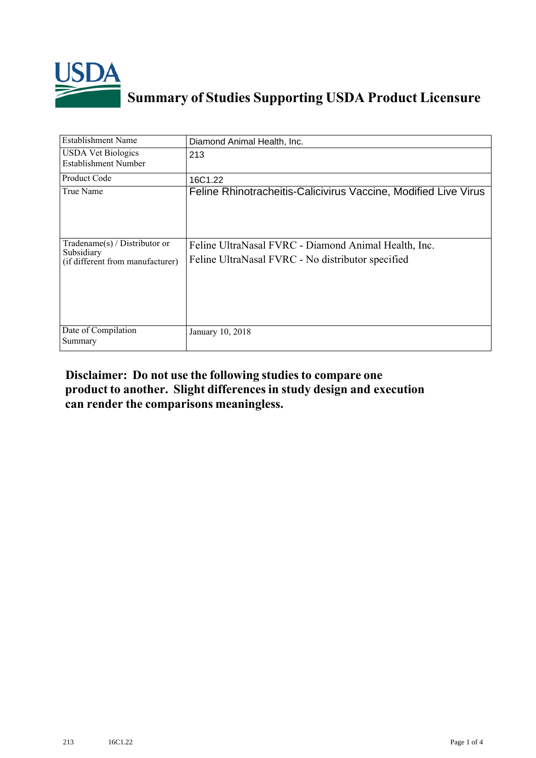

## **Summary of Studies Supporting USDA Product Licensure**

| <b>Establishment Name</b>                                                          | Diamond Animal Health, Inc.                                                                               |
|------------------------------------------------------------------------------------|-----------------------------------------------------------------------------------------------------------|
| <b>USDA Vet Biologics</b><br><b>Establishment Number</b>                           | 213                                                                                                       |
| Product Code                                                                       | 16C1.22                                                                                                   |
| True Name                                                                          | Feline Rhinotracheitis-Calicivirus Vaccine, Modified Live Virus                                           |
| Tradename $(s)$ / Distributor or<br>Subsidiary<br>(if different from manufacturer) | Feline UltraNasal FVRC - Diamond Animal Health, Inc.<br>Feline UltraNasal FVRC - No distributor specified |
| Date of Compilation<br>Summary                                                     | January 10, 2018                                                                                          |

## **Disclaimer: Do not use the following studiesto compare one product to another. Slight differencesin study design and execution can render the comparisons meaningless.**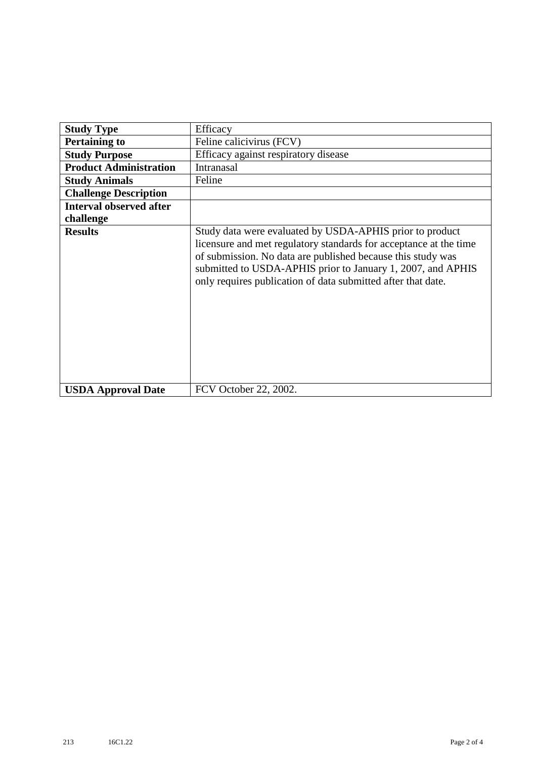| <b>Study Type</b>              | Efficacy                                                                                                                                                                                                                                                                                                                    |
|--------------------------------|-----------------------------------------------------------------------------------------------------------------------------------------------------------------------------------------------------------------------------------------------------------------------------------------------------------------------------|
|                                |                                                                                                                                                                                                                                                                                                                             |
| <b>Pertaining to</b>           | Feline calicivirus (FCV)                                                                                                                                                                                                                                                                                                    |
| <b>Study Purpose</b>           | Efficacy against respiratory disease                                                                                                                                                                                                                                                                                        |
| <b>Product Administration</b>  | Intranasal                                                                                                                                                                                                                                                                                                                  |
| <b>Study Animals</b>           | Feline                                                                                                                                                                                                                                                                                                                      |
| <b>Challenge Description</b>   |                                                                                                                                                                                                                                                                                                                             |
| <b>Interval observed after</b> |                                                                                                                                                                                                                                                                                                                             |
| challenge                      |                                                                                                                                                                                                                                                                                                                             |
| <b>Results</b>                 | Study data were evaluated by USDA-APHIS prior to product<br>licensure and met regulatory standards for acceptance at the time<br>of submission. No data are published because this study was<br>submitted to USDA-APHIS prior to January 1, 2007, and APHIS<br>only requires publication of data submitted after that date. |
| <b>USDA Approval Date</b>      | FCV October 22, 2002.                                                                                                                                                                                                                                                                                                       |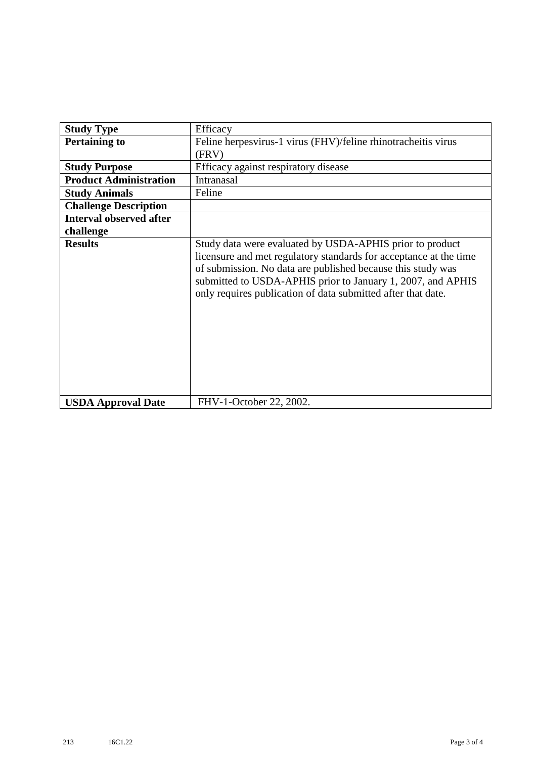| <b>Study Type</b>              | Efficacy                                                                                                                                                                                                                                                                                                                    |
|--------------------------------|-----------------------------------------------------------------------------------------------------------------------------------------------------------------------------------------------------------------------------------------------------------------------------------------------------------------------------|
| <b>Pertaining to</b>           | Feline herpesvirus-1 virus (FHV)/feline rhinotracheitis virus                                                                                                                                                                                                                                                               |
|                                | (FRV)                                                                                                                                                                                                                                                                                                                       |
| <b>Study Purpose</b>           | Efficacy against respiratory disease                                                                                                                                                                                                                                                                                        |
| <b>Product Administration</b>  | Intranasal                                                                                                                                                                                                                                                                                                                  |
| <b>Study Animals</b>           | Feline                                                                                                                                                                                                                                                                                                                      |
| <b>Challenge Description</b>   |                                                                                                                                                                                                                                                                                                                             |
| <b>Interval observed after</b> |                                                                                                                                                                                                                                                                                                                             |
| challenge                      |                                                                                                                                                                                                                                                                                                                             |
| <b>Results</b>                 | Study data were evaluated by USDA-APHIS prior to product<br>licensure and met regulatory standards for acceptance at the time<br>of submission. No data are published because this study was<br>submitted to USDA-APHIS prior to January 1, 2007, and APHIS<br>only requires publication of data submitted after that date. |
| <b>USDA Approval Date</b>      | FHV-1-October 22, 2002.                                                                                                                                                                                                                                                                                                     |